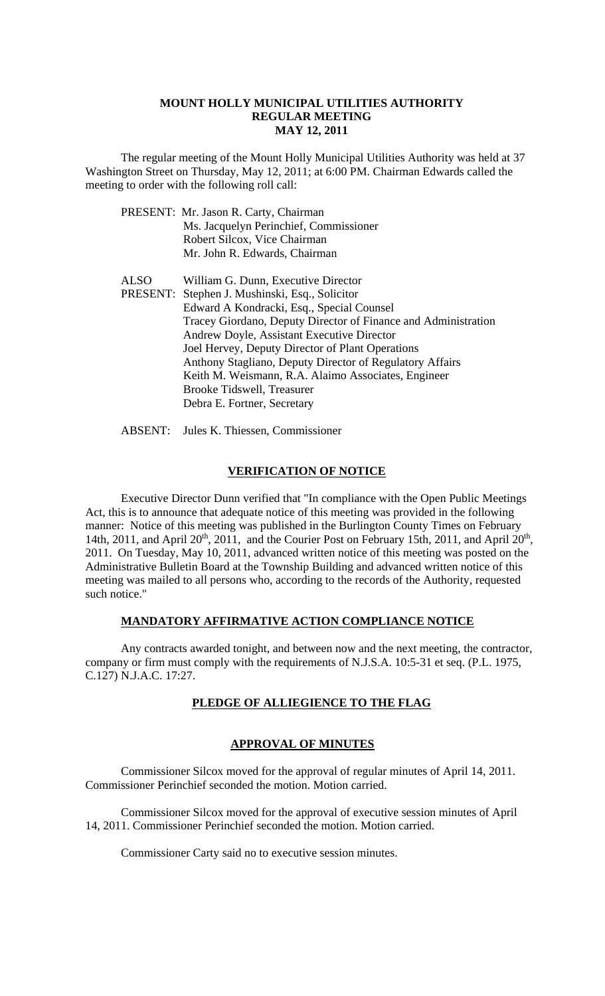#### **MOUNT HOLLY MUNICIPAL UTILITIES AUTHORITY REGULAR MEETING MAY 12, 2011**

 The regular meeting of the Mount Holly Municipal Utilities Authority was held at 37 Washington Street on Thursday, May 12, 2011; at 6:00 PM. Chairman Edwards called the meeting to order with the following roll call:

|      | PRESENT: Mr. Jason R. Carty, Chairman                          |
|------|----------------------------------------------------------------|
|      | Ms. Jacquelyn Perinchief, Commissioner                         |
|      | Robert Silcox, Vice Chairman                                   |
|      | Mr. John R. Edwards, Chairman                                  |
| ALSO | William G. Dunn, Executive Director                            |
|      | PRESENT: Stephen J. Mushinski, Esq., Solicitor                 |
|      | Edward A Kondracki, Esq., Special Counsel                      |
|      | Tracey Giordano, Deputy Director of Finance and Administration |
|      | Andrew Doyle, Assistant Executive Director                     |
|      | Joel Hervey, Deputy Director of Plant Operations               |
|      | Anthony Stagliano, Deputy Director of Regulatory Affairs       |
|      | Keith M. Weismann, R.A. Alaimo Associates, Engineer            |
|      | Brooke Tidswell, Treasurer                                     |
|      | Debra E. Fortner, Secretary                                    |
|      |                                                                |

ABSENT: Jules K. Thiessen, Commissioner

### **VERIFICATION OF NOTICE**

 Executive Director Dunn verified that "In compliance with the Open Public Meetings Act, this is to announce that adequate notice of this meeting was provided in the following manner: Notice of this meeting was published in the Burlington County Times on February 14th, 2011, and April 20<sup>th</sup>, 2011, and the Courier Post on February 15th, 2011, and April 20<sup>th</sup>, 2011. On Tuesday, May 10, 2011, advanced written notice of this meeting was posted on the Administrative Bulletin Board at the Township Building and advanced written notice of this meeting was mailed to all persons who, according to the records of the Authority, requested such notice."

## **MANDATORY AFFIRMATIVE ACTION COMPLIANCE NOTICE**

 Any contracts awarded tonight, and between now and the next meeting, the contractor, company or firm must comply with the requirements of N.J.S.A. 10:5-31 et seq. (P.L. 1975, C.127) N.J.A.C. 17:27.

# **PLEDGE OF ALLIEGIENCE TO THE FLAG**

## **APPROVAL OF MINUTES**

Commissioner Silcox moved for the approval of regular minutes of April 14, 2011. Commissioner Perinchief seconded the motion. Motion carried.

Commissioner Silcox moved for the approval of executive session minutes of April 14, 2011. Commissioner Perinchief seconded the motion. Motion carried.

Commissioner Carty said no to executive session minutes.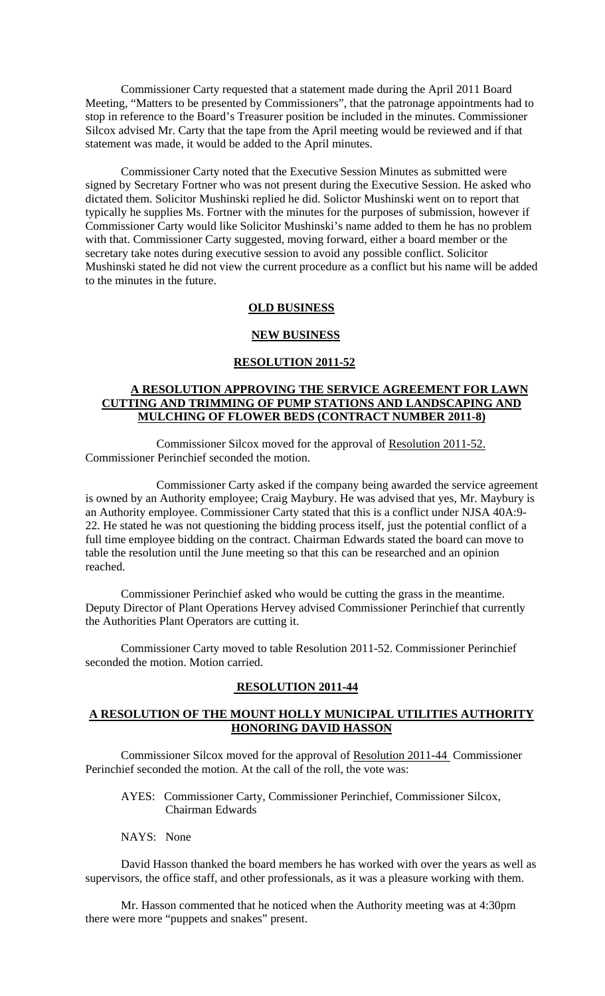Commissioner Carty requested that a statement made during the April 2011 Board Meeting, "Matters to be presented by Commissioners", that the patronage appointments had to stop in reference to the Board's Treasurer position be included in the minutes. Commissioner Silcox advised Mr. Carty that the tape from the April meeting would be reviewed and if that statement was made, it would be added to the April minutes.

Commissioner Carty noted that the Executive Session Minutes as submitted were signed by Secretary Fortner who was not present during the Executive Session. He asked who dictated them. Solicitor Mushinski replied he did. Solictor Mushinski went on to report that typically he supplies Ms. Fortner with the minutes for the purposes of submission, however if Commissioner Carty would like Solicitor Mushinski's name added to them he has no problem with that. Commissioner Carty suggested, moving forward, either a board member or the secretary take notes during executive session to avoid any possible conflict. Solicitor Mushinski stated he did not view the current procedure as a conflict but his name will be added to the minutes in the future.

#### **OLD BUSINESS**

#### **NEW BUSINESS**

## **RESOLUTION 2011-52**

## **A RESOLUTION APPROVING THE SERVICE AGREEMENT FOR LAWN CUTTING AND TRIMMING OF PUMP STATIONS AND LANDSCAPING AND MULCHING OF FLOWER BEDS (CONTRACT NUMBER 2011-8)**

 Commissioner Silcox moved for the approval of Resolution 2011-52. Commissioner Perinchief seconded the motion.

 Commissioner Carty asked if the company being awarded the service agreement is owned by an Authority employee; Craig Maybury. He was advised that yes, Mr. Maybury is an Authority employee. Commissioner Carty stated that this is a conflict under NJSA 40A:9- 22. He stated he was not questioning the bidding process itself, just the potential conflict of a full time employee bidding on the contract. Chairman Edwards stated the board can move to table the resolution until the June meeting so that this can be researched and an opinion reached.

 Commissioner Perinchief asked who would be cutting the grass in the meantime. Deputy Director of Plant Operations Hervey advised Commissioner Perinchief that currently the Authorities Plant Operators are cutting it.

Commissioner Carty moved to table Resolution 2011-52. Commissioner Perinchief seconded the motion. Motion carried.

#### **RESOLUTION 2011-44**

# **A RESOLUTION OF THE MOUNT HOLLY MUNICIPAL UTILITIES AUTHORITY HONORING DAVID HASSON**

Commissioner Silcox moved for the approval of Resolution 2011-44 Commissioner Perinchief seconded the motion. At the call of the roll, the vote was:

- AYES: Commissioner Carty, Commissioner Perinchief, Commissioner Silcox, Chairman Edwards
- NAYS: None

 David Hasson thanked the board members he has worked with over the years as well as supervisors, the office staff, and other professionals, as it was a pleasure working with them.

 Mr. Hasson commented that he noticed when the Authority meeting was at 4:30pm there were more "puppets and snakes" present.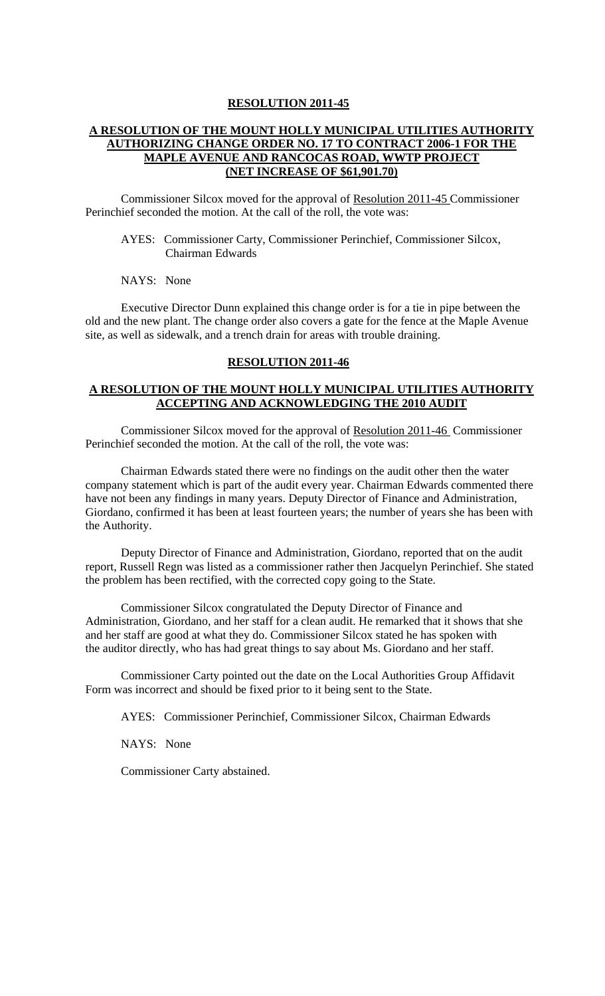#### **RESOLUTION 2011-45**

## **A RESOLUTION OF THE MOUNT HOLLY MUNICIPAL UTILITIES AUTHORITY AUTHORIZING CHANGE ORDER NO. 17 TO CONTRACT 2006-1 FOR THE MAPLE AVENUE AND RANCOCAS ROAD, WWTP PROJECT (NET INCREASE OF \$61,901.70)**

Commissioner Silcox moved for the approval of Resolution 2011-45 Commissioner Perinchief seconded the motion. At the call of the roll, the vote was:

AYES: Commissioner Carty, Commissioner Perinchief, Commissioner Silcox, Chairman Edwards

### NAYS: None

 Executive Director Dunn explained this change order is for a tie in pipe between the old and the new plant. The change order also covers a gate for the fence at the Maple Avenue site, as well as sidewalk, and a trench drain for areas with trouble draining.

### **RESOLUTION 2011-46**

## **A RESOLUTION OF THE MOUNT HOLLY MUNICIPAL UTILITIES AUTHORITY ACCEPTING AND ACKNOWLEDGING THE 2010 AUDIT**

Commissioner Silcox moved for the approval of Resolution 2011-46 Commissioner Perinchief seconded the motion. At the call of the roll, the vote was:

Chairman Edwards stated there were no findings on the audit other then the water company statement which is part of the audit every year. Chairman Edwards commented there have not been any findings in many years. Deputy Director of Finance and Administration, Giordano, confirmed it has been at least fourteen years; the number of years she has been with the Authority.

Deputy Director of Finance and Administration, Giordano, reported that on the audit report, Russell Regn was listed as a commissioner rather then Jacquelyn Perinchief. She stated the problem has been rectified, with the corrected copy going to the State.

Commissioner Silcox congratulated the Deputy Director of Finance and Administration, Giordano, and her staff for a clean audit. He remarked that it shows that she and her staff are good at what they do. Commissioner Silcox stated he has spoken with the auditor directly, who has had great things to say about Ms. Giordano and her staff.

Commissioner Carty pointed out the date on the Local Authorities Group Affidavit Form was incorrect and should be fixed prior to it being sent to the State.

AYES: Commissioner Perinchief, Commissioner Silcox, Chairman Edwards

NAYS: None

Commissioner Carty abstained.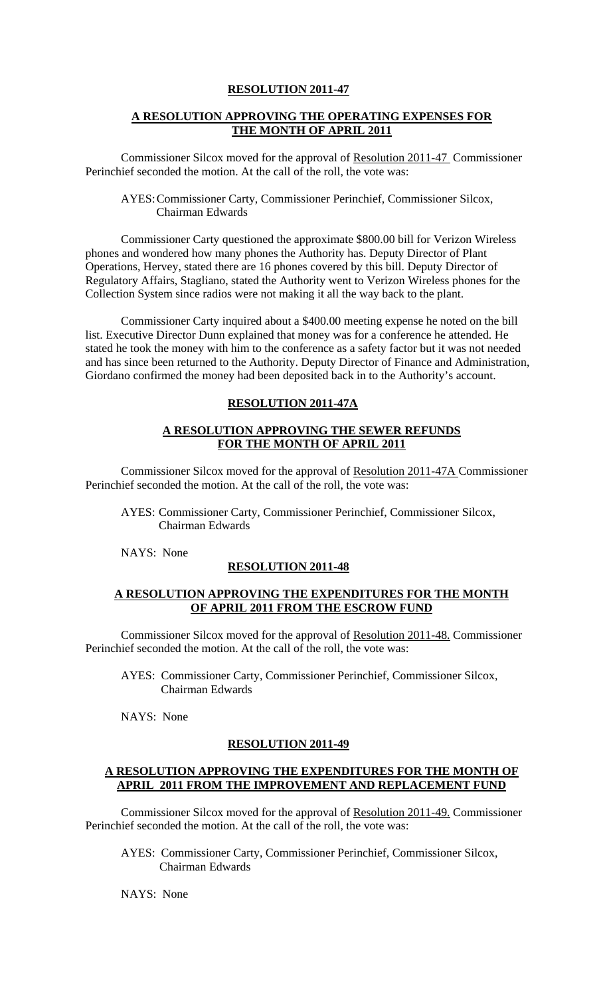### **RESOLUTION 2011-47**

# **A RESOLUTION APPROVING THE OPERATING EXPENSES FOR THE MONTH OF APRIL 2011**

Commissioner Silcox moved for the approval of Resolution 2011-47 Commissioner Perinchief seconded the motion. At the call of the roll, the vote was:

 AYES: Commissioner Carty, Commissioner Perinchief, Commissioner Silcox, Chairman Edwards

 Commissioner Carty questioned the approximate \$800.00 bill for Verizon Wireless phones and wondered how many phones the Authority has. Deputy Director of Plant Operations, Hervey, stated there are 16 phones covered by this bill. Deputy Director of Regulatory Affairs, Stagliano, stated the Authority went to Verizon Wireless phones for the Collection System since radios were not making it all the way back to the plant.

Commissioner Carty inquired about a \$400.00 meeting expense he noted on the bill list. Executive Director Dunn explained that money was for a conference he attended. He stated he took the money with him to the conference as a safety factor but it was not needed and has since been returned to the Authority. Deputy Director of Finance and Administration, Giordano confirmed the money had been deposited back in to the Authority's account.

## **RESOLUTION 2011-47A**

### **A RESOLUTION APPROVING THE SEWER REFUNDS FOR THE MONTH OF APRIL 2011**

Commissioner Silcox moved for the approval of Resolution 2011-47A Commissioner Perinchief seconded the motion. At the call of the roll, the vote was:

AYES: Commissioner Carty, Commissioner Perinchief, Commissioner Silcox, Chairman Edwards

NAYS: None

#### **RESOLUTION 2011-48**

### **A RESOLUTION APPROVING THE EXPENDITURES FOR THE MONTH OF APRIL 2011 FROM THE ESCROW FUND**

Commissioner Silcox moved for the approval of Resolution 2011-48. Commissioner Perinchief seconded the motion. At the call of the roll, the vote was:

AYES: Commissioner Carty, Commissioner Perinchief, Commissioner Silcox, Chairman Edwards

NAYS: None

## **RESOLUTION 2011-49**

### **A RESOLUTION APPROVING THE EXPENDITURES FOR THE MONTH OF APRIL 2011 FROM THE IMPROVEMENT AND REPLACEMENT FUND**

Commissioner Silcox moved for the approval of Resolution 2011-49. Commissioner Perinchief seconded the motion. At the call of the roll, the vote was:

AYES: Commissioner Carty, Commissioner Perinchief, Commissioner Silcox, Chairman Edwards

NAYS: None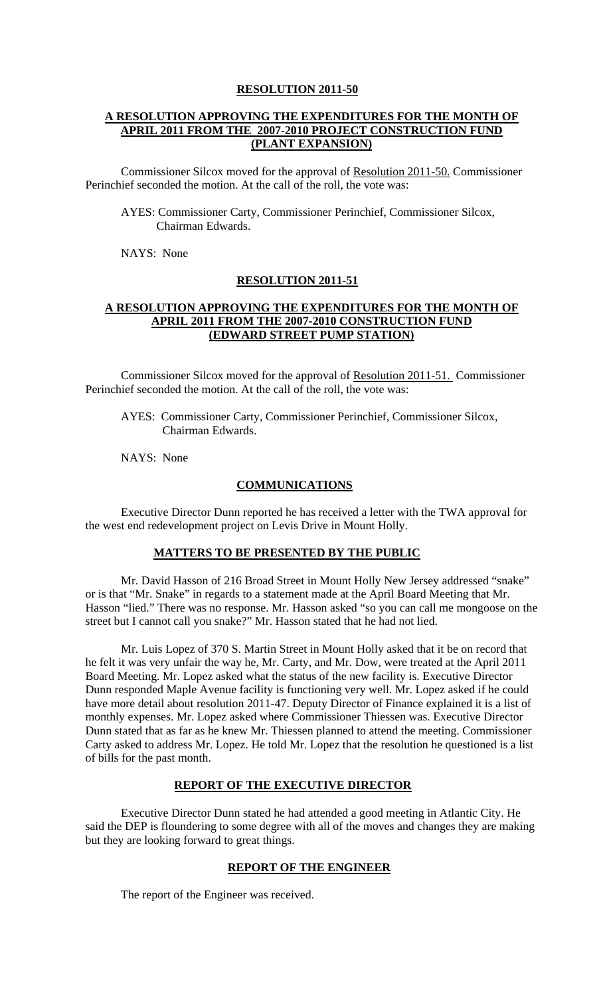#### **RESOLUTION 2011-50**

## **A RESOLUTION APPROVING THE EXPENDITURES FOR THE MONTH OF APRIL 2011 FROM THE 2007-2010 PROJECT CONSTRUCTION FUND (PLANT EXPANSION)**

Commissioner Silcox moved for the approval of Resolution 2011-50. Commissioner Perinchief seconded the motion. At the call of the roll, the vote was:

AYES: Commissioner Carty, Commissioner Perinchief, Commissioner Silcox, Chairman Edwards.

NAYS: None

#### **RESOLUTION 2011-51**

### **A RESOLUTION APPROVING THE EXPENDITURES FOR THE MONTH OF APRIL 2011 FROM THE 2007-2010 CONSTRUCTION FUND (EDWARD STREET PUMP STATION)**

Commissioner Silcox moved for the approval of Resolution 2011-51. Commissioner Perinchief seconded the motion. At the call of the roll, the vote was:

AYES: Commissioner Carty, Commissioner Perinchief, Commissioner Silcox, Chairman Edwards.

NAYS: None

## **COMMUNICATIONS**

 Executive Director Dunn reported he has received a letter with the TWA approval for the west end redevelopment project on Levis Drive in Mount Holly.

#### **MATTERS TO BE PRESENTED BY THE PUBLIC**

Mr. David Hasson of 216 Broad Street in Mount Holly New Jersey addressed "snake" or is that "Mr. Snake" in regards to a statement made at the April Board Meeting that Mr. Hasson "lied." There was no response. Mr. Hasson asked "so you can call me mongoose on the street but I cannot call you snake?" Mr. Hasson stated that he had not lied.

Mr. Luis Lopez of 370 S. Martin Street in Mount Holly asked that it be on record that he felt it was very unfair the way he, Mr. Carty, and Mr. Dow, were treated at the April 2011 Board Meeting. Mr. Lopez asked what the status of the new facility is. Executive Director Dunn responded Maple Avenue facility is functioning very well. Mr. Lopez asked if he could have more detail about resolution 2011-47. Deputy Director of Finance explained it is a list of monthly expenses. Mr. Lopez asked where Commissioner Thiessen was. Executive Director Dunn stated that as far as he knew Mr. Thiessen planned to attend the meeting. Commissioner Carty asked to address Mr. Lopez. He told Mr. Lopez that the resolution he questioned is a list of bills for the past month.

#### **REPORT OF THE EXECUTIVE DIRECTOR**

Executive Director Dunn stated he had attended a good meeting in Atlantic City. He said the DEP is floundering to some degree with all of the moves and changes they are making but they are looking forward to great things.

#### **REPORT OF THE ENGINEER**

The report of the Engineer was received.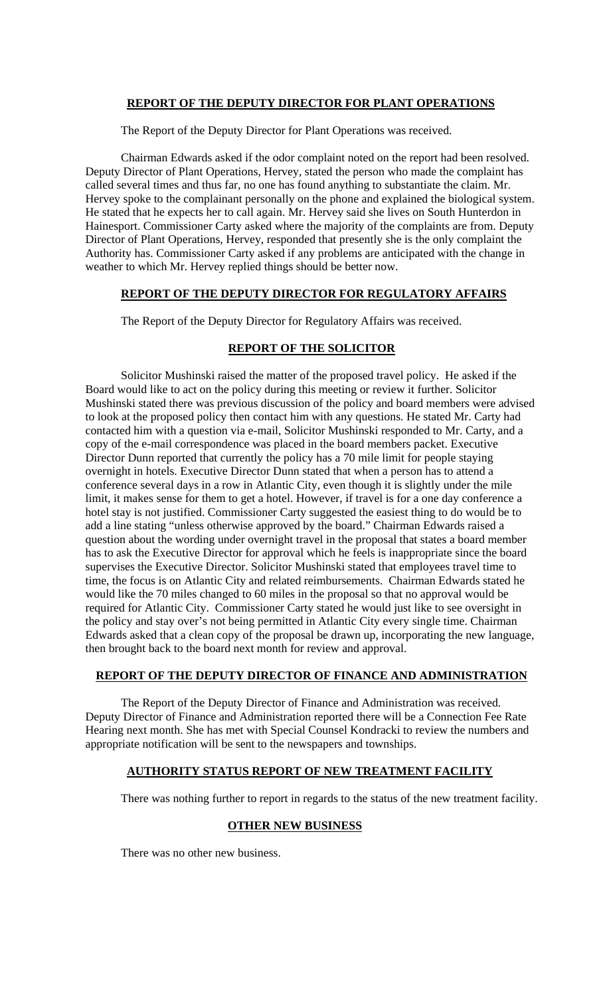## **REPORT OF THE DEPUTY DIRECTOR FOR PLANT OPERATIONS**

The Report of the Deputy Director for Plant Operations was received.

Chairman Edwards asked if the odor complaint noted on the report had been resolved. Deputy Director of Plant Operations, Hervey, stated the person who made the complaint has called several times and thus far, no one has found anything to substantiate the claim. Mr. Hervey spoke to the complainant personally on the phone and explained the biological system. He stated that he expects her to call again. Mr. Hervey said she lives on South Hunterdon in Hainesport. Commissioner Carty asked where the majority of the complaints are from. Deputy Director of Plant Operations, Hervey, responded that presently she is the only complaint the Authority has. Commissioner Carty asked if any problems are anticipated with the change in weather to which Mr. Hervey replied things should be better now.

## **REPORT OF THE DEPUTY DIRECTOR FOR REGULATORY AFFAIRS**

The Report of the Deputy Director for Regulatory Affairs was received.

## **REPORT OF THE SOLICITOR**

 Solicitor Mushinski raised the matter of the proposed travel policy. He asked if the Board would like to act on the policy during this meeting or review it further. Solicitor Mushinski stated there was previous discussion of the policy and board members were advised to look at the proposed policy then contact him with any questions. He stated Mr. Carty had contacted him with a question via e-mail, Solicitor Mushinski responded to Mr. Carty, and a copy of the e-mail correspondence was placed in the board members packet. Executive Director Dunn reported that currently the policy has a 70 mile limit for people staying overnight in hotels. Executive Director Dunn stated that when a person has to attend a conference several days in a row in Atlantic City, even though it is slightly under the mile limit, it makes sense for them to get a hotel. However, if travel is for a one day conference a hotel stay is not justified. Commissioner Carty suggested the easiest thing to do would be to add a line stating "unless otherwise approved by the board." Chairman Edwards raised a question about the wording under overnight travel in the proposal that states a board member has to ask the Executive Director for approval which he feels is inappropriate since the board supervises the Executive Director. Solicitor Mushinski stated that employees travel time to time, the focus is on Atlantic City and related reimbursements. Chairman Edwards stated he would like the 70 miles changed to 60 miles in the proposal so that no approval would be required for Atlantic City. Commissioner Carty stated he would just like to see oversight in the policy and stay over's not being permitted in Atlantic City every single time. Chairman Edwards asked that a clean copy of the proposal be drawn up, incorporating the new language, then brought back to the board next month for review and approval.

# **REPORT OF THE DEPUTY DIRECTOR OF FINANCE AND ADMINISTRATION**

The Report of the Deputy Director of Finance and Administration was received. Deputy Director of Finance and Administration reported there will be a Connection Fee Rate Hearing next month. She has met with Special Counsel Kondracki to review the numbers and appropriate notification will be sent to the newspapers and townships.

# **AUTHORITY STATUS REPORT OF NEW TREATMENT FACILITY**

There was nothing further to report in regards to the status of the new treatment facility.

## **OTHER NEW BUSINESS**

There was no other new business.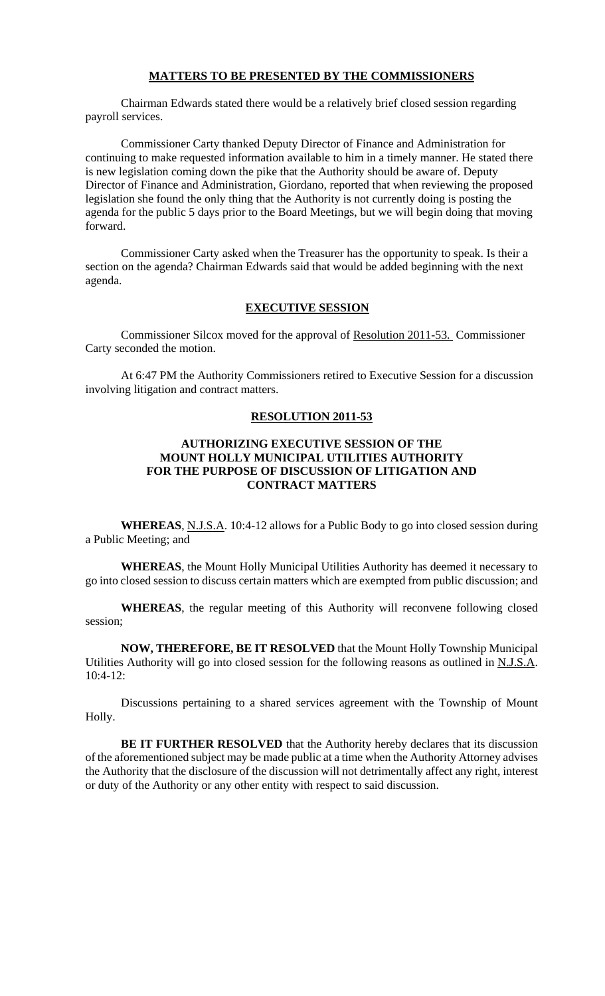### **MATTERS TO BE PRESENTED BY THE COMMISSIONERS**

 Chairman Edwards stated there would be a relatively brief closed session regarding payroll services.

 Commissioner Carty thanked Deputy Director of Finance and Administration for continuing to make requested information available to him in a timely manner. He stated there is new legislation coming down the pike that the Authority should be aware of. Deputy Director of Finance and Administration, Giordano, reported that when reviewing the proposed legislation she found the only thing that the Authority is not currently doing is posting the agenda for the public 5 days prior to the Board Meetings, but we will begin doing that moving forward.

 Commissioner Carty asked when the Treasurer has the opportunity to speak. Is their a section on the agenda? Chairman Edwards said that would be added beginning with the next agenda.

#### **EXECUTIVE SESSION**

 Commissioner Silcox moved for the approval of Resolution 2011-53. Commissioner Carty seconded the motion.

 At 6:47 PM the Authority Commissioners retired to Executive Session for a discussion involving litigation and contract matters.

# **RESOLUTION 2011-53**

## **AUTHORIZING EXECUTIVE SESSION OF THE MOUNT HOLLY MUNICIPAL UTILITIES AUTHORITY FOR THE PURPOSE OF DISCUSSION OF LITIGATION AND CONTRACT MATTERS**

**WHEREAS**, N.J.S.A. 10:4-12 allows for a Public Body to go into closed session during a Public Meeting; and

**WHEREAS**, the Mount Holly Municipal Utilities Authority has deemed it necessary to go into closed session to discuss certain matters which are exempted from public discussion; and

**WHEREAS**, the regular meeting of this Authority will reconvene following closed session;

**NOW, THEREFORE, BE IT RESOLVED** that the Mount Holly Township Municipal Utilities Authority will go into closed session for the following reasons as outlined in N.J.S.A.  $10:4-12$ :

Discussions pertaining to a shared services agreement with the Township of Mount Holly.

**BE IT FURTHER RESOLVED** that the Authority hereby declares that its discussion of the aforementioned subject may be made public at a time when the Authority Attorney advises the Authority that the disclosure of the discussion will not detrimentally affect any right, interest or duty of the Authority or any other entity with respect to said discussion.